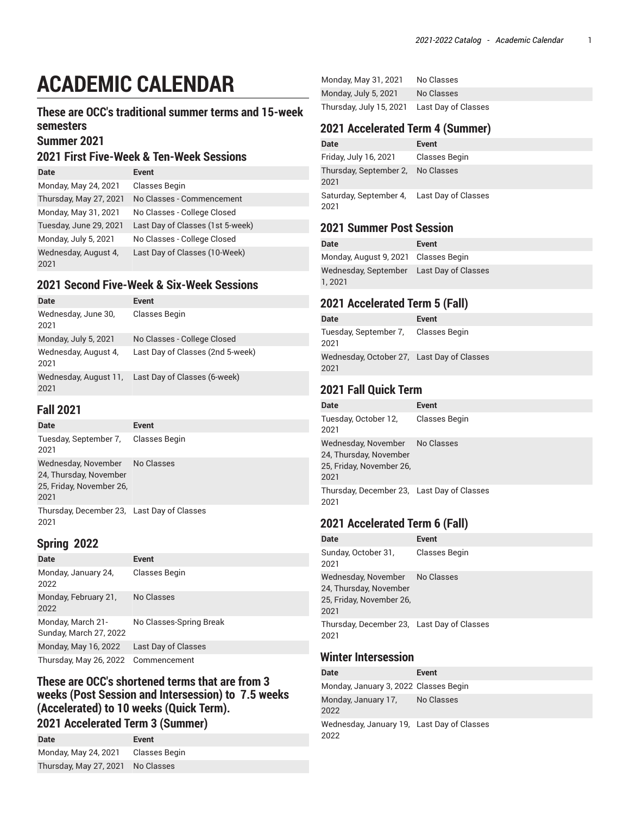# **ACADEMIC CALENDAR**

### **These are OCC's traditional summer terms and 15-week semesters**

**Summer 2021**

## **2021 First Five-Week & Ten-Week Sessions**

| Date                         | Event                            |
|------------------------------|----------------------------------|
| Monday, May 24, 2021         | Classes Begin                    |
| Thursday, May 27, 2021       | No Classes - Commencement        |
| Monday, May 31, 2021         | No Classes - College Closed      |
| Tuesday, June 29, 2021       | Last Day of Classes (1st 5-week) |
| Monday, July 5, 2021         | No Classes - College Closed      |
| Wednesday, August 4,<br>2021 | Last Day of Classes (10-Week)    |

### **2021 Second Five-Week & Six-Week Sessions**

| <b>Date</b>                   | Event                            |
|-------------------------------|----------------------------------|
| Wednesday, June 30,<br>2021   | Classes Begin                    |
| Monday, July 5, 2021          | No Classes - College Closed      |
| Wednesday, August 4,<br>2021  | Last Day of Classes (2nd 5-week) |
| Wednesday, August 11,<br>2021 | Last Day of Classes (6-week)     |

#### **Fall 2021**

| Date                                                                                         | <b>Event</b> |
|----------------------------------------------------------------------------------------------|--------------|
| Tuesday, September 7, Classes Begin<br>2021                                                  |              |
| Wednesday, November No Classes<br>24, Thursday, November<br>25, Friday, November 26,<br>2021 |              |
| Thursday, December 23, Last Day of Classes<br>2021                                           |              |

## **Spring 2022**

| Date                                        | <b>Event</b>            |
|---------------------------------------------|-------------------------|
| Monday, January 24,<br>2022                 | Classes Begin           |
| Monday, February 21,<br>2022                | No Classes              |
| Monday, March 21-<br>Sunday, March 27, 2022 | No Classes-Spring Break |
| Monday, May 16, 2022                        | Last Day of Classes     |
| Thursday, May 26, 2022 Commencement         |                         |

#### **These are OCC's shortened terms that are from 3 weeks (Post Session and Intersession) to 7.5 weeks (Accelerated) to 10 weeks (Quick Term). 2021 Accelerated Term 3 (Summer)**

| Date                              | Event         |
|-----------------------------------|---------------|
| Monday, May 24, 2021              | Classes Begin |
| Thursday, May 27, 2021 No Classes |               |

| Monday, May 31, 2021                        | No Classes |
|---------------------------------------------|------------|
| Monday, July 5, 2021                        | No Classes |
| Thursday, July 15, 2021 Last Day of Classes |            |

### **2021 Accelerated Term 4 (Summer)**

| <b>Date</b>                                        | Event         |
|----------------------------------------------------|---------------|
| Friday, July 16, 2021                              | Classes Begin |
| Thursday, September 2, No Classes<br>2021          |               |
| Saturday, September 4, Last Day of Classes<br>2021 |               |

## **2021 Summer Post Session**

| Date                                                | Event |
|-----------------------------------------------------|-------|
| Monday, August 9, 2021 Classes Begin                |       |
| Wednesday, September Last Day of Classes<br>1, 2021 |       |

# **2021 Accelerated Term 5 (Fall)**

| Date                                               | Event |
|----------------------------------------------------|-------|
| Tuesday, September 7, Classes Begin<br>2021        |       |
| Wednesday, October 27, Last Day of Classes<br>2021 |       |

# **2021 Fall Quick Term**

| Date                                                                              | Event         |
|-----------------------------------------------------------------------------------|---------------|
| Tuesday, October 12,<br>2021                                                      | Classes Begin |
| Wednesday, November<br>24, Thursday, November<br>25, Friday, November 26,<br>2021 | No Classes    |
| Thursday, December 23, Last Day of Classes<br>2021                                |               |

## **2021 Accelerated Term 6 (Fall)**

| Date                                                                                         | Event         |
|----------------------------------------------------------------------------------------------|---------------|
| Sunday, October 31,<br>2021                                                                  | Classes Begin |
| Wednesday, November No Classes<br>24, Thursday, November<br>25, Friday, November 26,<br>2021 |               |
| Thursday, December 23, Last Day of Classes<br>2021                                           |               |

#### **Winter Intersession**

| Date                                               | Event |
|----------------------------------------------------|-------|
| Monday, January 3, 2022 Classes Begin              |       |
| Monday, January 17, No Classes<br>2022             |       |
| Wednesday, January 19, Last Day of Classes<br>2022 |       |